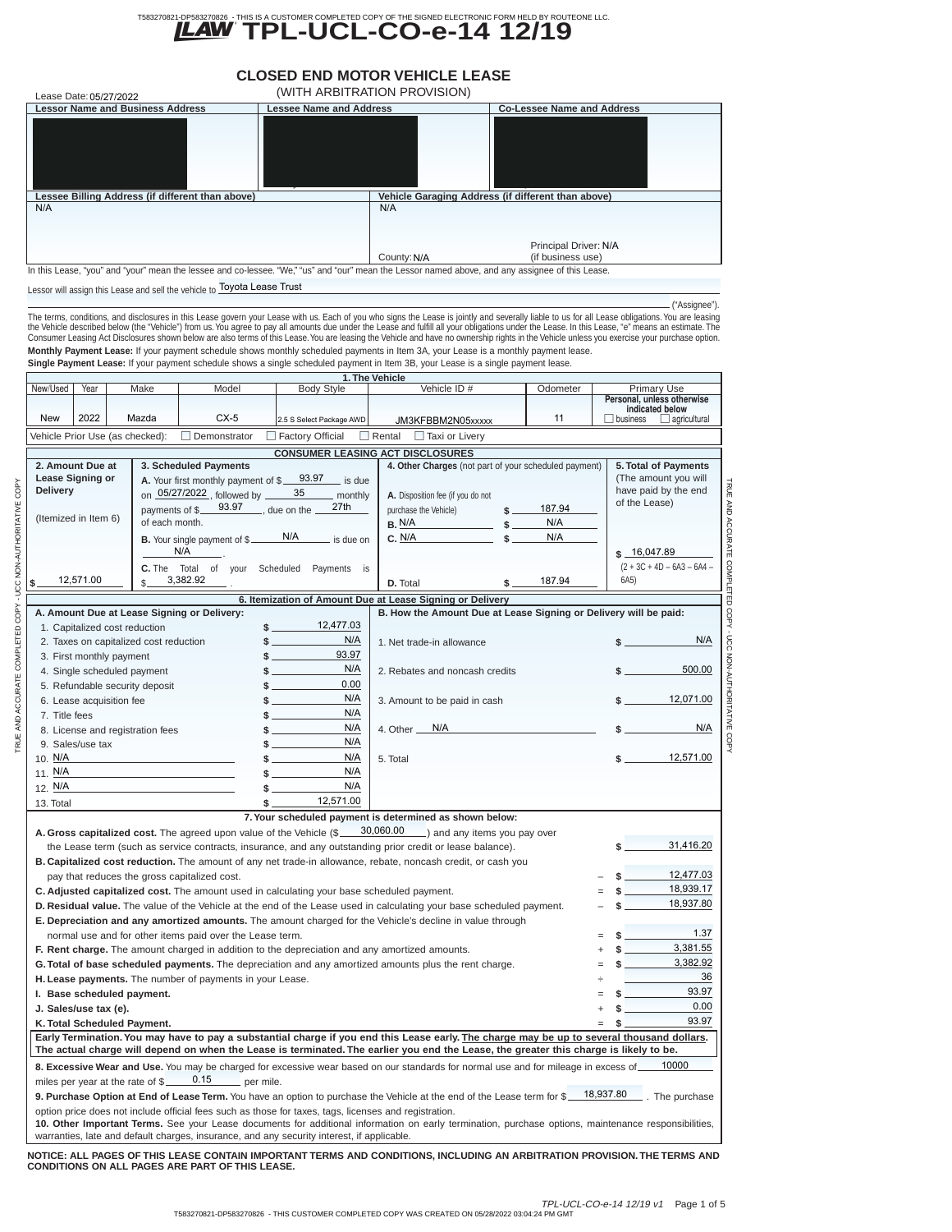## T583270821-DP583270826 - THIS IS A CUSTOMER COMPLETED COPY OF THE SIGNED ELECTRONIC FORM HELD BY ROUTEONE LLC.<br> **TEAW** TPL-UCL-CO-e-14 12/19

**CLOSED END MOTOR VEHICLE LEASE**

Lease Date: 05/27/2022 (WITH ARBITRATION PROVISION) County: Principal Driver: N/A (if business use) **Vehicle Garaging Address (if different than above)** Lessor Name and Business Address **Lessee Name and Address Lessee Billing Address (if different than above)** County of the county of the county of the county of the county of the county of the county of the county of the **Co-Lessee Name and Address** In this Lease, "you" and "your" mean the lessee and co-lessee. "We," "us" and "our" mean the Lessor named above, and any assignee of this Lease N/A N/A County: N/A

Lessor will assign this Lease and sell the vehicle to Toyota Lease Trust

("Assignee"). The terms, conditions, and disclosures in this Lease govern your Lease with us. Each of you who signs the Lease is jointly and severally liable to us for all Lease obligations. You are leasing<br>the Vehicle described below **Monthly Payment Lease:** If your payment schedule shows monthly scheduled payments in Item 3A, your Lease is a monthly payment lease.

**Single Payment Lease:** If your payment schedule shows a single scheduled payment in Item 3B, your Lease is a single payment lease.

| 1. The Vehicle                                                                                                                                        |                               |  |                                        |                                                                     |                                          |                                                                                                                      |                                                                               |                               |          |                      |                                                           |
|-------------------------------------------------------------------------------------------------------------------------------------------------------|-------------------------------|--|----------------------------------------|---------------------------------------------------------------------|------------------------------------------|----------------------------------------------------------------------------------------------------------------------|-------------------------------------------------------------------------------|-------------------------------|----------|----------------------|-----------------------------------------------------------|
| New/Used                                                                                                                                              | Year                          |  | Make                                   | Model                                                               |                                          | <b>Body Style</b>                                                                                                    | Vehicle ID#                                                                   |                               | Odometer |                      | <b>Primary Use</b>                                        |
|                                                                                                                                                       |                               |  |                                        |                                                                     |                                          |                                                                                                                      |                                                                               |                               |          |                      | Personal, unless otherwise                                |
| New                                                                                                                                                   | 2022                          |  | Mazda                                  | $CX-5$                                                              |                                          | 2.5 S Select Package AWD                                                                                             |                                                                               |                               | 11       |                      | indicated below<br>$\Box$ business<br>$\Box$ agricultural |
|                                                                                                                                                       |                               |  |                                        |                                                                     |                                          |                                                                                                                      | JM3KFBBM2N05xxxxx                                                             |                               |          |                      |                                                           |
| Vehicle Prior Use (as checked):<br>$\Box$ Demonstrator<br>$\Box$ Factory Official<br>$\Box$ Rental<br>$\Box$ Taxi or Livery                           |                               |  |                                        |                                                                     |                                          |                                                                                                                      |                                                                               |                               |          |                      |                                                           |
| <b>CONSUMER LEASING ACT DISCLOSURES</b>                                                                                                               |                               |  |                                        |                                                                     |                                          |                                                                                                                      |                                                                               |                               |          |                      |                                                           |
| 2. Amount Due at                                                                                                                                      |                               |  |                                        | 3. Scheduled Payments                                               |                                          |                                                                                                                      | 4. Other Charges (not part of your scheduled payment)<br>5. Total of Payments |                               |          |                      |                                                           |
| Lease Signing or                                                                                                                                      |                               |  | A. Your first monthly payment of \$    |                                                                     | 93.97<br>$\overline{\phantom{a}}$ is due |                                                                                                                      |                                                                               |                               |          | (The amount you will |                                                           |
| <b>Delivery</b>                                                                                                                                       |                               |  |                                        | on $05/27/2022$ , followed by _                                     |                                          | 35<br>monthly                                                                                                        | A. Disposition fee (if you do not                                             |                               |          |                      | have paid by the end                                      |
|                                                                                                                                                       |                               |  |                                        | 93.97                                                               |                                          | 27th<br>$\overline{a}$ , due on the $\overline{a}$                                                                   | purchase the Vehicle)                                                         | \$                            | 187.94   |                      | of the Lease)                                             |
| (Itemized in Item 6)                                                                                                                                  |                               |  | payments of \$_<br>of each month.      |                                                                     |                                          |                                                                                                                      | B. N/A                                                                        |                               | N/A      |                      |                                                           |
|                                                                                                                                                       |                               |  |                                        |                                                                     |                                          |                                                                                                                      |                                                                               | \$                            |          |                      |                                                           |
|                                                                                                                                                       |                               |  |                                        | <b>B.</b> Your single payment of \$.                                |                                          | N/A<br>is due on                                                                                                     | C. N/A                                                                        | \$                            | N/A      |                      |                                                           |
|                                                                                                                                                       |                               |  |                                        | N/A                                                                 |                                          |                                                                                                                      |                                                                               |                               |          |                      | \$16,047.89                                               |
|                                                                                                                                                       |                               |  | C. The Total                           | of your Scheduled                                                   |                                          | Payments is                                                                                                          |                                                                               |                               |          |                      | $(2 + 3C + 4D - 6A3 - 6A4 -$                              |
|                                                                                                                                                       | 12,571.00                     |  | \$                                     | 3,382.92                                                            |                                          |                                                                                                                      | D. Total                                                                      | \$_                           | 187.94   |                      | 6A5)                                                      |
|                                                                                                                                                       |                               |  |                                        |                                                                     |                                          | 6. Itemization of Amount Due at Lease Signing or Delivery                                                            |                                                                               |                               |          |                      |                                                           |
|                                                                                                                                                       |                               |  |                                        | A. Amount Due at Lease Signing or Delivery:                         |                                          |                                                                                                                      | B. How the Amount Due at Lease Signing or Delivery will be paid:              |                               |          |                      |                                                           |
|                                                                                                                                                       |                               |  |                                        |                                                                     |                                          | 12,477.03                                                                                                            |                                                                               |                               |          |                      |                                                           |
|                                                                                                                                                       | 1. Capitalized cost reduction |  |                                        |                                                                     |                                          |                                                                                                                      |                                                                               |                               |          |                      |                                                           |
|                                                                                                                                                       |                               |  | 2. Taxes on capitalized cost reduction |                                                                     | \$                                       | N/A<br>1. Net trade-in allowance                                                                                     |                                                                               |                               |          |                      | N/A                                                       |
|                                                                                                                                                       | 3. First monthly payment      |  |                                        |                                                                     |                                          |                                                                                                                      | 93.97                                                                         |                               |          |                      |                                                           |
|                                                                                                                                                       |                               |  | 4. Single scheduled payment            |                                                                     |                                          |                                                                                                                      | N/A<br>2. Rebates and noncash credits                                         |                               |          |                      | 500.00                                                    |
|                                                                                                                                                       |                               |  | 5. Refundable security deposit         |                                                                     | \$                                       | 0.00                                                                                                                 |                                                                               |                               |          |                      |                                                           |
|                                                                                                                                                       | 6. Lease acquisition fee      |  |                                        |                                                                     | \$                                       | N/A                                                                                                                  | 3. Amount to be paid in cash                                                  |                               |          |                      | 12,071.00                                                 |
| 7. Title fees                                                                                                                                         |                               |  |                                        |                                                                     |                                          | N/A                                                                                                                  |                                                                               |                               |          |                      |                                                           |
|                                                                                                                                                       |                               |  | 8. License and registration fees       |                                                                     |                                          | N/A                                                                                                                  | N/A<br>4. Other                                                               |                               |          |                      | N/A                                                       |
|                                                                                                                                                       | 9. Sales/use tax              |  |                                        |                                                                     |                                          | N/A                                                                                                                  |                                                                               |                               |          |                      |                                                           |
| 10. N/A                                                                                                                                               |                               |  |                                        |                                                                     |                                          | N/A                                                                                                                  | 5. Total                                                                      |                               |          |                      | 12,571.00                                                 |
|                                                                                                                                                       |                               |  |                                        |                                                                     |                                          | N/A                                                                                                                  |                                                                               |                               |          |                      |                                                           |
| 11. N/A                                                                                                                                               |                               |  |                                        |                                                                     | N/A                                      |                                                                                                                      |                                                                               |                               |          |                      |                                                           |
| 12. N/A                                                                                                                                               |                               |  |                                        |                                                                     | \$                                       |                                                                                                                      |                                                                               |                               |          |                      |                                                           |
| 13. Total                                                                                                                                             |                               |  |                                        |                                                                     | \$                                       | 12,571.00                                                                                                            |                                                                               |                               |          |                      |                                                           |
| 7. Your scheduled payment is determined as shown below:                                                                                               |                               |  |                                        |                                                                     |                                          |                                                                                                                      |                                                                               |                               |          |                      |                                                           |
|                                                                                                                                                       |                               |  |                                        | A. Gross capitalized cost. The agreed upon value of the Vehicle (\$ |                                          |                                                                                                                      | 30,060.00                                                                     | _) and any items you pay over |          |                      |                                                           |
|                                                                                                                                                       |                               |  |                                        |                                                                     |                                          | the Lease term (such as service contracts, insurance, and any outstanding prior credit or lease balance).            |                                                                               |                               |          |                      | 31,416.20<br>\$                                           |
|                                                                                                                                                       |                               |  |                                        |                                                                     |                                          | B. Capitalized cost reduction. The amount of any net trade-in allowance, rebate, noncash credit, or cash you         |                                                                               |                               |          |                      |                                                           |
|                                                                                                                                                       |                               |  |                                        | pay that reduces the gross capitalized cost.                        |                                          |                                                                                                                      |                                                                               |                               |          |                      | 12,477.03                                                 |
|                                                                                                                                                       |                               |  |                                        |                                                                     |                                          | C. Adjusted capitalized cost. The amount used in calculating your base scheduled payment.                            |                                                                               |                               |          |                      | 18,939.17<br>\$                                           |
|                                                                                                                                                       |                               |  |                                        |                                                                     |                                          | D. Residual value. The value of the Vehicle at the end of the Lease used in calculating your base scheduled payment. |                                                                               |                               |          |                      | 18,937.80                                                 |
|                                                                                                                                                       |                               |  |                                        |                                                                     |                                          |                                                                                                                      |                                                                               |                               |          |                      |                                                           |
|                                                                                                                                                       |                               |  |                                        |                                                                     |                                          | E. Depreciation and any amortized amounts. The amount charged for the Vehicle's decline in value through             |                                                                               |                               |          |                      | 1.37                                                      |
|                                                                                                                                                       |                               |  |                                        | normal use and for other items paid over the Lease term.            |                                          |                                                                                                                      |                                                                               |                               |          |                      |                                                           |
| F. Rent charge. The amount charged in addition to the depreciation and any amortized amounts.                                                         |                               |  |                                        |                                                                     |                                          |                                                                                                                      |                                                                               |                               |          |                      | 3,381.55                                                  |
|                                                                                                                                                       |                               |  |                                        |                                                                     |                                          | G. Total of base scheduled payments. The depreciation and any amortized amounts plus the rent charge.                |                                                                               |                               |          |                      | 3,382.92                                                  |
| 36<br>H. Lease payments. The number of payments in your Lease.                                                                                        |                               |  |                                        |                                                                     |                                          |                                                                                                                      |                                                                               |                               |          |                      |                                                           |
| I. Base scheduled payment.                                                                                                                            |                               |  |                                        |                                                                     |                                          |                                                                                                                      |                                                                               | 93.97                         |          |                      |                                                           |
| J. Sales/use tax (e).                                                                                                                                 |                               |  |                                        |                                                                     |                                          |                                                                                                                      |                                                                               |                               |          |                      | 0.00<br>$\mathsf{s}$                                      |
| K. Total Scheduled Payment.<br>\$                                                                                                                     |                               |  |                                        |                                                                     |                                          |                                                                                                                      |                                                                               |                               | 93.97    |                      |                                                           |
| Early Termination. You may have to pay a substantial charge if you end this Lease early. The charge may be up to several thousand dollars.            |                               |  |                                        |                                                                     |                                          |                                                                                                                      |                                                                               |                               |          |                      |                                                           |
| The actual charge will depend on when the Lease is terminated. The earlier you end the Lease, the greater this charge is likely to be.                |                               |  |                                        |                                                                     |                                          |                                                                                                                      |                                                                               |                               |          |                      |                                                           |
| 10000<br>8. Excessive Wear and Use. You may be charged for excessive wear based on our standards for normal use and for mileage in excess of          |                               |  |                                        |                                                                     |                                          |                                                                                                                      |                                                                               |                               |          |                      |                                                           |
| 0.15<br>per mile.<br>miles per year at the rate of \$_                                                                                                |                               |  |                                        |                                                                     |                                          |                                                                                                                      |                                                                               |                               |          |                      |                                                           |
| 18,937.80<br>9. Purchase Option at End of Lease Term. You have an option to purchase the Vehicle at the end of the Lease term for \$_<br>The purchase |                               |  |                                        |                                                                     |                                          |                                                                                                                      |                                                                               |                               |          |                      |                                                           |
| option price does not include official fees such as those for taxes, tags, licenses and registration.                                                 |                               |  |                                        |                                                                     |                                          |                                                                                                                      |                                                                               |                               |          |                      |                                                           |
| 10. Other Important Terms. See your Lease documents for additional information on early termination, purchase options, maintenance responsibilities,  |                               |  |                                        |                                                                     |                                          |                                                                                                                      |                                                                               |                               |          |                      |                                                           |
| warranties, late and default charges, insurance, and any security interest, if applicable.                                                            |                               |  |                                        |                                                                     |                                          |                                                                                                                      |                                                                               |                               |          |                      |                                                           |

**NOTICE: ALL PAGES OF THIS LEASE CONTAIN IMPORTANT TERMS AND CONDITIONS, INCLUDING AN ARBITRATION PROVISION. THE TERMS AND CONDITIONS ON ALL PAGES ARE PART OF THIS LEASE.**

TRUE AND ACCURATE COMPLETED COPY - UCC NON-AUTHORITATIVE COPY TRUE AND ACCURATE COMPLETED COPY - UCC NON-AUTHORITATIVE COPY